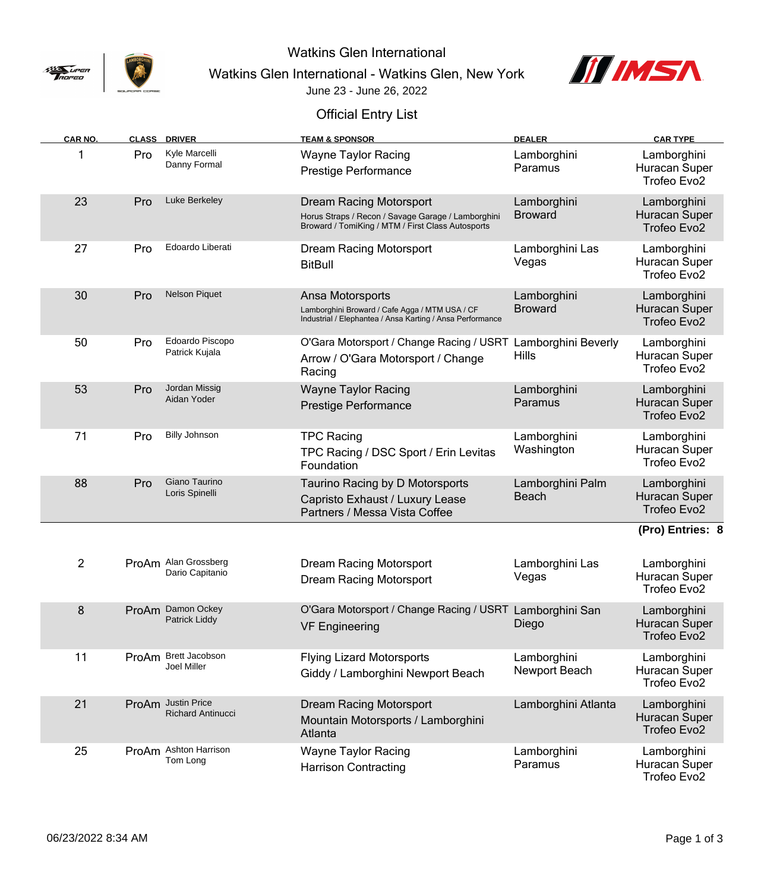

Watkins Glen International

Watkins Glen International - Watkins Glen, New York



June 23 - June 26, 2022

## Official Entry List

| CAR NO.        |     | <b>CLASS DRIVER</b>                            | <b>TEAM &amp; SPONSOR</b>                                                                                                          | <b>DEALER</b>                       | <b>CAR TYPE</b>                             |
|----------------|-----|------------------------------------------------|------------------------------------------------------------------------------------------------------------------------------------|-------------------------------------|---------------------------------------------|
|                | Pro | Kyle Marcelli<br>Danny Formal                  | <b>Wayne Taylor Racing</b><br><b>Prestige Performance</b>                                                                          | Lamborghini<br>Paramus              | Lamborghini<br>Huracan Super                |
|                |     |                                                |                                                                                                                                    |                                     | Trofeo Evo2                                 |
| 23             | Pro | Luke Berkeley                                  | Dream Racing Motorsport<br>Horus Straps / Recon / Savage Garage / Lamborghini<br>Broward / TomiKing / MTM / First Class Autosports | Lamborghini<br><b>Broward</b>       | Lamborghini<br>Huracan Super<br>Trofeo Evo2 |
| 27             | Pro | Edoardo Liberati                               | <b>Dream Racing Motorsport</b><br><b>BitBull</b>                                                                                   | Lamborghini Las<br>Vegas            | Lamborghini<br>Huracan Super<br>Trofeo Evo2 |
| 30             | Pro | <b>Nelson Piquet</b>                           | Ansa Motorsports<br>Lamborghini Broward / Cafe Agga / MTM USA / CF<br>Industrial / Elephantea / Ansa Karting / Ansa Performance    | Lamborghini<br><b>Broward</b>       | Lamborghini<br>Huracan Super<br>Trofeo Evo2 |
| 50             | Pro | Edoardo Piscopo<br>Patrick Kujala              | O'Gara Motorsport / Change Racing / USRT<br>Arrow / O'Gara Motorsport / Change<br>Racing                                           | Lamborghini Beverly<br><b>Hills</b> | Lamborghini<br>Huracan Super<br>Trofeo Evo2 |
| 53             | Pro | Jordan Missig<br>Aidan Yoder                   | <b>Wayne Taylor Racing</b><br><b>Prestige Performance</b>                                                                          | Lamborghini<br>Paramus              | Lamborghini<br>Huracan Super<br>Trofeo Evo2 |
| 71             | Pro | <b>Billy Johnson</b>                           | <b>TPC Racing</b><br>TPC Racing / DSC Sport / Erin Levitas<br>Foundation                                                           | Lamborghini<br>Washington           | Lamborghini<br>Huracan Super<br>Trofeo Evo2 |
| 88             | Pro | Giano Taurino<br>Loris Spinelli                | Taurino Racing by D Motorsports<br>Capristo Exhaust / Luxury Lease<br>Partners / Messa Vista Coffee                                | Lamborghini Palm<br><b>Beach</b>    | Lamborghini<br>Huracan Super<br>Trofeo Evo2 |
|                |     |                                                |                                                                                                                                    |                                     | (Pro) Entries: 8                            |
| $\overline{2}$ |     | ProAm Alan Grossberg<br>Dario Capitanio        | <b>Dream Racing Motorsport</b><br><b>Dream Racing Motorsport</b>                                                                   | Lamborghini Las<br>Vegas            | Lamborghini<br>Huracan Super<br>Trofeo Evo2 |
| 8              |     | ProAm Damon Ockey<br>Patrick Liddy             | O'Gara Motorsport / Change Racing / USRT Lamborghini San<br><b>VF Engineering</b>                                                  | Diego                               | Lamborghini<br>Huracan Super<br>Trofeo Evo2 |
| 11             |     | ProAm Brett Jacobson<br>Joel Miller            | <b>Flying Lizard Motorsports</b><br>Giddy / Lamborghini Newport Beach                                                              | Lamborghini<br>Newport Beach        | Lamborghini<br>Huracan Super<br>Trofeo Evo2 |
| 21             |     | ProAm Justin Price<br><b>Richard Antinucci</b> | <b>Dream Racing Motorsport</b><br>Mountain Motorsports / Lamborghini<br>Atlanta                                                    | Lamborghini Atlanta                 | Lamborghini<br>Huracan Super<br>Trofeo Evo2 |
| 25             |     | ProAm Ashton Harrison<br>Tom Long              | <b>Wayne Taylor Racing</b><br><b>Harrison Contracting</b>                                                                          | Lamborghini<br>Paramus              | Lamborghini<br>Huracan Super<br>Trofeo Evo2 |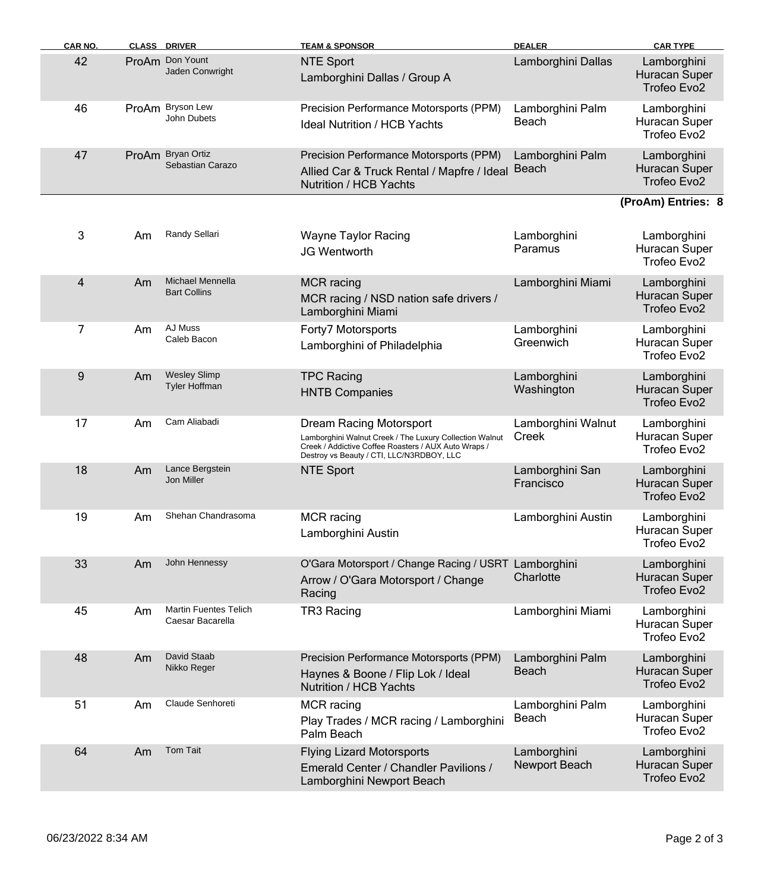| CAR NO. |    | <b>CLASS DRIVER</b>                              | <b>TEAM &amp; SPONSOR</b>                                                                                                                                                               | <b>DEALER</b>                    | <b>CAR TYPE</b>                             |
|---------|----|--------------------------------------------------|-----------------------------------------------------------------------------------------------------------------------------------------------------------------------------------------|----------------------------------|---------------------------------------------|
| 42      |    | ProAm Don Yount<br>Jaden Conwright               | <b>NTE Sport</b><br>Lamborghini Dallas / Group A                                                                                                                                        | Lamborghini Dallas               | Lamborghini<br>Huracan Super<br>Trofeo Evo2 |
| 46      |    | ProAm Bryson Lew<br>John Dubets                  | Precision Performance Motorsports (PPM)<br><b>Ideal Nutrition / HCB Yachts</b>                                                                                                          | Lamborghini Palm<br>Beach        | Lamborghini<br>Huracan Super<br>Trofeo Evo2 |
| 47      |    | ProAm Bryan Ortiz<br>Sebastian Carazo            | Precision Performance Motorsports (PPM)<br>Allied Car & Truck Rental / Mapfre / Ideal<br>Nutrition / HCB Yachts                                                                         | Lamborghini Palm<br>Beach        | Lamborghini<br>Huracan Super<br>Trofeo Evo2 |
|         |    |                                                  |                                                                                                                                                                                         |                                  | (ProAm) Entries: 8                          |
| 3       | Am | <b>Randy Sellari</b>                             | <b>Wayne Taylor Racing</b><br>JG Wentworth                                                                                                                                              | Lamborghini<br>Paramus           | Lamborghini<br>Huracan Super<br>Trofeo Evo2 |
| 4       | Am | <b>Michael Mennella</b><br><b>Bart Collins</b>   | <b>MCR</b> racing<br>MCR racing / NSD nation safe drivers /<br>Lamborghini Miami                                                                                                        | Lamborghini Miami                | Lamborghini<br>Huracan Super<br>Trofeo Evo2 |
| 7       | Am | AJ Muss<br>Caleb Bacon                           | Forty7 Motorsports<br>Lamborghini of Philadelphia                                                                                                                                       | Lamborghini<br>Greenwich         | Lamborghini<br>Huracan Super<br>Trofeo Evo2 |
| 9       | Am | <b>Wesley Slimp</b><br>Tyler Hoffman             | <b>TPC Racing</b><br><b>HNTB Companies</b>                                                                                                                                              | Lamborghini<br>Washington        | Lamborghini<br>Huracan Super<br>Trofeo Evo2 |
| 17      | Am | Cam Aliabadi                                     | Dream Racing Motorsport<br>Lamborghini Walnut Creek / The Luxury Collection Walnut<br>Creek / Addictive Coffee Roasters / AUX Auto Wraps /<br>Destroy vs Beauty / CTI, LLC/N3RDBOY, LLC | Lamborghini Walnut<br>Creek      | Lamborghini<br>Huracan Super<br>Trofeo Evo2 |
| 18      | Am | Lance Bergstein<br>Jon Miller                    | <b>NTE Sport</b>                                                                                                                                                                        | Lamborghini San<br>Francisco     | Lamborghini<br>Huracan Super<br>Trofeo Evo2 |
| 19      | Am | Shehan Chandrasoma                               | <b>MCR</b> racing<br>Lamborghini Austin                                                                                                                                                 | Lamborghini Austin               | Lamborghini<br>Huracan Super<br>Trofeo Evo2 |
| 33      | Am | John Hennessy                                    | O'Gara Motorsport / Change Racing / USRT Lamborghini<br>Arrow / O'Gara Motorsport / Change<br>Racing                                                                                    | Charlotte                        | Lamborghini<br>Huracan Super<br>Trofeo Evo2 |
| 45      | Am | <b>Martin Fuentes Telich</b><br>Caesar Bacarella | TR3 Racing                                                                                                                                                                              | Lamborghini Miami                | Lamborghini<br>Huracan Super<br>Trofeo Evo2 |
| 48      | Am | David Staab<br>Nikko Reger                       | Precision Performance Motorsports (PPM)<br>Haynes & Boone / Flip Lok / Ideal<br>Nutrition / HCB Yachts                                                                                  | Lamborghini Palm<br><b>Beach</b> | Lamborghini<br>Huracan Super<br>Trofeo Evo2 |
| 51      | Am | Claude Senhoreti                                 | <b>MCR</b> racing<br>Play Trades / MCR racing / Lamborghini<br>Palm Beach                                                                                                               | Lamborghini Palm<br>Beach        | Lamborghini<br>Huracan Super<br>Trofeo Evo2 |
| 64      | Am | <b>Tom Tait</b>                                  | <b>Flying Lizard Motorsports</b><br>Emerald Center / Chandler Pavilions /<br>Lamborghini Newport Beach                                                                                  | Lamborghini<br>Newport Beach     | Lamborghini<br>Huracan Super<br>Trofeo Evo2 |